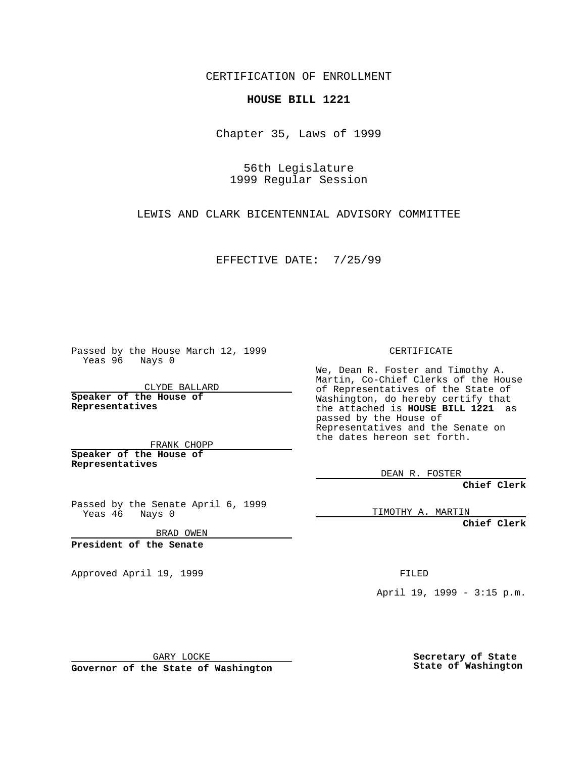CERTIFICATION OF ENROLLMENT

## **HOUSE BILL 1221**

Chapter 35, Laws of 1999

56th Legislature 1999 Regular Session

LEWIS AND CLARK BICENTENNIAL ADVISORY COMMITTEE

EFFECTIVE DATE: 7/25/99

Passed by the House March 12, 1999 Yeas 96 Nays 0

CLYDE BALLARD **Speaker of the House of Representatives**

FRANK CHOPP **Speaker of the House of Representatives**

Passed by the Senate April 6, 1999<br>Yeas 46 Nays 0 Nays 0

BRAD OWEN

**President of the Senate**

Approved April 19, 1999 **FILED** 

CERTIFICATE

We, Dean R. Foster and Timothy A. Martin, Co-Chief Clerks of the House of Representatives of the State of Washington, do hereby certify that the attached is **HOUSE BILL 1221** as passed by the House of Representatives and the Senate on the dates hereon set forth.

DEAN R. FOSTER

**Chief Clerk**

TIMOTHY A. MARTIN

**Chief Clerk**

April 19, 1999 - 3:15 p.m.

GARY LOCKE

**Governor of the State of Washington**

**Secretary of State State of Washington**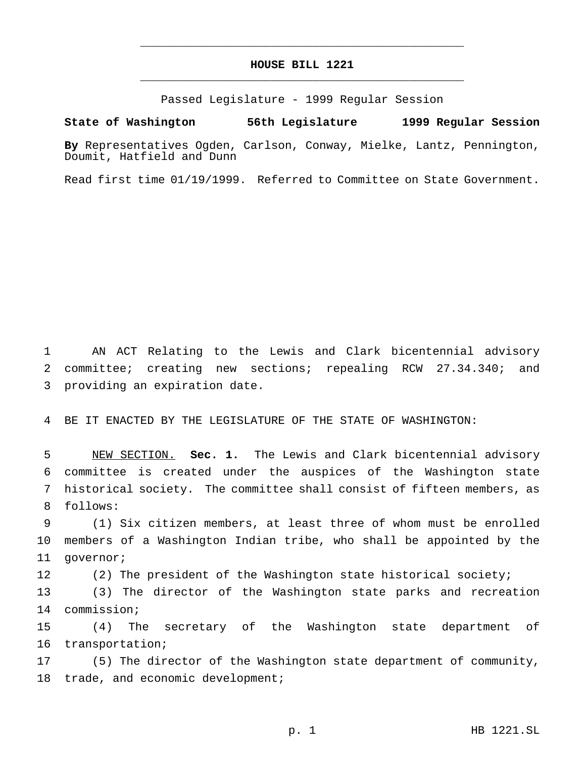## **HOUSE BILL 1221** \_\_\_\_\_\_\_\_\_\_\_\_\_\_\_\_\_\_\_\_\_\_\_\_\_\_\_\_\_\_\_\_\_\_\_\_\_\_\_\_\_\_\_\_\_\_\_

\_\_\_\_\_\_\_\_\_\_\_\_\_\_\_\_\_\_\_\_\_\_\_\_\_\_\_\_\_\_\_\_\_\_\_\_\_\_\_\_\_\_\_\_\_\_\_

Passed Legislature - 1999 Regular Session

## **State of Washington 56th Legislature 1999 Regular Session**

**By** Representatives Ogden, Carlson, Conway, Mielke, Lantz, Pennington, Doumit, Hatfield and Dunn

Read first time 01/19/1999. Referred to Committee on State Government.

 AN ACT Relating to the Lewis and Clark bicentennial advisory committee; creating new sections; repealing RCW 27.34.340; and providing an expiration date.

BE IT ENACTED BY THE LEGISLATURE OF THE STATE OF WASHINGTON:

 NEW SECTION. **Sec. 1.** The Lewis and Clark bicentennial advisory committee is created under the auspices of the Washington state historical society. The committee shall consist of fifteen members, as follows:

 (1) Six citizen members, at least three of whom must be enrolled members of a Washington Indian tribe, who shall be appointed by the governor;

(2) The president of the Washington state historical society;

 (3) The director of the Washington state parks and recreation commission;

 (4) The secretary of the Washington state department of transportation;

 (5) The director of the Washington state department of community, 18 trade, and economic development;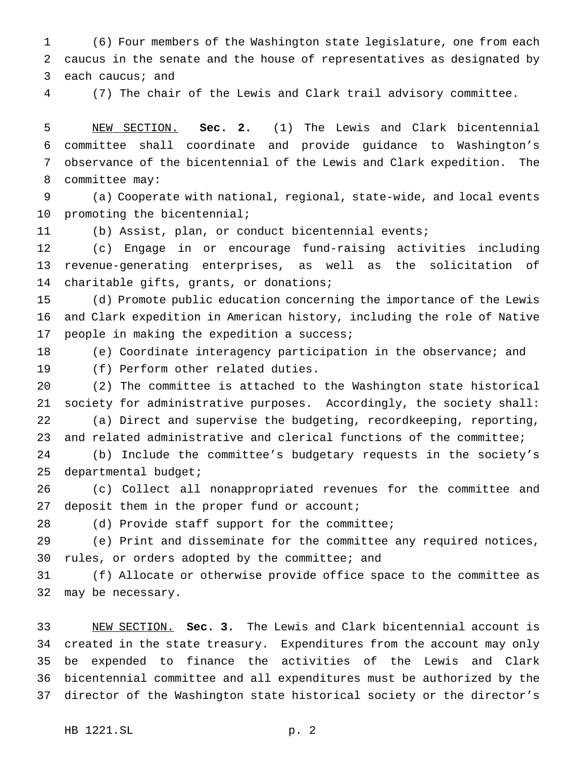(6) Four members of the Washington state legislature, one from each caucus in the senate and the house of representatives as designated by each caucus; and

(7) The chair of the Lewis and Clark trail advisory committee.

 NEW SECTION. **Sec. 2.** (1) The Lewis and Clark bicentennial committee shall coordinate and provide guidance to Washington's observance of the bicentennial of the Lewis and Clark expedition. The committee may:

 (a) Cooperate with national, regional, state-wide, and local events 10 promoting the bicentennial;

(b) Assist, plan, or conduct bicentennial events;

 (c) Engage in or encourage fund-raising activities including revenue-generating enterprises, as well as the solicitation of charitable gifts, grants, or donations;

 (d) Promote public education concerning the importance of the Lewis and Clark expedition in American history, including the role of Native people in making the expedition a success;

(e) Coordinate interagency participation in the observance; and

(f) Perform other related duties.

 (2) The committee is attached to the Washington state historical society for administrative purposes. Accordingly, the society shall: (a) Direct and supervise the budgeting, recordkeeping, reporting, and related administrative and clerical functions of the committee;

 (b) Include the committee's budgetary requests in the society's 25 departmental budget;

 (c) Collect all nonappropriated revenues for the committee and 27 deposit them in the proper fund or account;

(d) Provide staff support for the committee;

 (e) Print and disseminate for the committee any required notices, rules, or orders adopted by the committee; and

 (f) Allocate or otherwise provide office space to the committee as may be necessary.

 NEW SECTION. **Sec. 3.** The Lewis and Clark bicentennial account is created in the state treasury. Expenditures from the account may only be expended to finance the activities of the Lewis and Clark bicentennial committee and all expenditures must be authorized by the director of the Washington state historical society or the director's